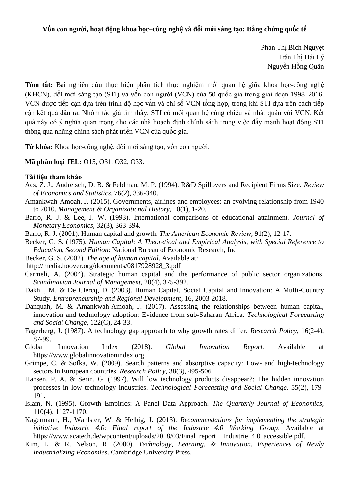## **Vốn con người, hoạt động khoa học–công nghệ và đổi mới sáng tạo: Bằng chứng quốc tế**

Phan Thị Bích Nguyệt Trần Thị Hải Lý Nguyễn Hồng Quân

**Tóm tắt:** Bài nghiên cứu thực hiện phân tích thực nghiệm mối quan hệ giữa khoa học-công nghệ (KHCN), đổi mới sáng tạo (STI) và vốn con người (VCN) của 50 quốc gia trong giai đoạn 1998–2016. VCN được tiếp cận dựa trên trình độ học vấn và chỉ số VCN tổng hợp, trong khi STI dựa trên cách tiếp cận kết quả đầu ra. Nhóm tác giả tìm thấy, STI có mối quan hệ cùng chiều và nhất quán với VCN. Kết quả này có ý nghĩa quan trong cho các nhà hoạch định chính sách trong việc đẩy mạnh hoạt động STI thông qua những chính sách phát triển VCN của quốc gia.

**Từ khóa:** Khoa học-công nghệ, đổi mới sáng tạo, vốn con người.

**Mã phân loại JEL:** O15, O31, O32, O33.

## **Tài liệu tham khảo**

- Acs, Z. J., Audretsch, D. B. & Feldman, M. P. (1994). R&D Spillovers and Recipient Firms Size. *Review of Economics and Statistics,* 76(2), 336-340.
- Amankwah-Amoah, J. (2015). Governments, airlines and employees: an evolving relationship from 1940 to 2010. *Management & Organizational History,* 10(1), 1-20.
- Barro, R. J. & Lee, J. W. (1993). International comparisons of educational attainment. *Journal of Monetary Economics,* 32(3), 363-394.
- Barro, R. J. (2001). Human capital and growth. *The American Economic Review,* 91(2)*,* 12-17.
- Becker, G. S. (1975). *Human Capital: A Theoretical and Empirical Analysis, with Special Reference to Education, Second Edition*: National Bureau of Economic Research, Inc.
- Becker, G. S. (2002). *The age of human capital*. Available at:
- http://media.hoover.org/documents/0817928928\_3.pdf
- Carmeli, A. (2004). Strategic human capital and the performance of public sector organizations. *Scandinavian Journal of Management,* 20(4), 375-392.
- Dakhli, M. & De Clercq, D. (2003). Human Capital, Social Capital and Innovation: A Multi-Country Study. *Entrepreneurship and Regional Development,* 16, 2003-2018.
- Danquah, M. & Amankwah-Amoah, J. (2017). Assessing the relationships between human capital, innovation and technology adoption: Evidence from sub-Saharan Africa. *Technological Forecasting and Social Change,* 122(C), 24-33.
- Fagerberg, J. (1987). A technology gap approach to why growth rates differ. *Research Policy,* 16(2-4), 87-99.
- Global Innovation Index (2018). *Global Innovation Report*. Available at https://www.globalinnovationindex.org.
- Grimpe, C. & Sofka, W. (2009). Search patterns and absorptive capacity: Low- and high-technology sectors in European countries. *Research Policy,* 38(3), 495-506.
- Hansen, P. A. & Serin, G. (1997). Will low technology products disappear?: The hidden innovation processes in low technology industries. *Technological Forecasting and Social Change,* 55(2), 179- 191.
- Islam, N. (1995). Growth Empirics: A Panel Data Approach. *The Quarterly Journal of Economics,*  110(4), 1127-1170.
- Kagermann, H., Wahlster, W. & Helbig, J. (2013). *Recommendations for implementing the strategic initiative Industrie 4.0: Final report of the Industrie 4.0 Working Group*. Available at https://www.acatech.de/wpcontent/uploads/2018/03/Final\_report\_\_Industrie\_4.0\_accessible.pdf.
- Kim, L. & R. Nelson, R. (2000). *Technology, Learning, & Innovation. Experiences of Newly Industrializing Economies*. Cambridge University Press.